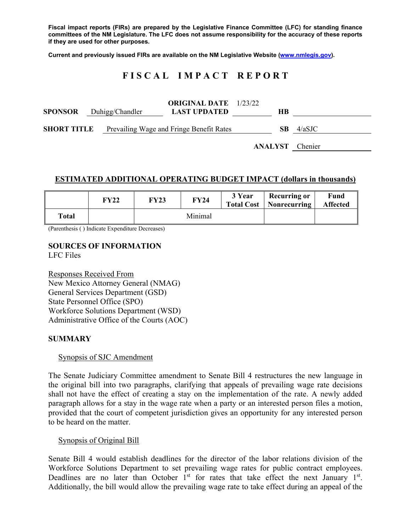**Fiscal impact reports (FIRs) are prepared by the Legislative Finance Committee (LFC) for standing finance committees of the NM Legislature. The LFC does not assume responsibility for the accuracy of these reports if they are used for other purposes.** 

**Current and previously issued FIRs are available on the NM Legislative Website (www.nmlegis.gov).** 

# **F I S C A L I M P A C T R E P O R T**

| <b>SPONSOR</b> Duhigg/Chandler |  |                                          | <b>ORIGINAL DATE</b> 1/23/22<br><b>LAST UPDATED</b> | HВ     |                        |
|--------------------------------|--|------------------------------------------|-----------------------------------------------------|--------|------------------------|
| <b>SHORT TITLE</b>             |  | Prevailing Wage and Fringe Benefit Rates | SB.                                                 | 4/aSJC |                        |
|                                |  |                                          |                                                     |        | <b>ANALYST</b> Chenier |

#### **ESTIMATED ADDITIONAL OPERATING BUDGET IMPACT (dollars in thousands)**

|       | <b>FY22</b> | <b>FY23</b> | FY24    | 3 Year | <b>Recurring or</b><br><b>Total Cost   Nonrecurring</b> | Fund<br><b>Affected</b> |
|-------|-------------|-------------|---------|--------|---------------------------------------------------------|-------------------------|
| Total |             |             | Minimal |        |                                                         |                         |

(Parenthesis ( ) Indicate Expenditure Decreases)

#### **SOURCES OF INFORMATION**  LFC Files

Responses Received From New Mexico Attorney General (NMAG) General Services Department (GSD) State Personnel Office (SPO) Workforce Solutions Department (WSD) Administrative Office of the Courts (AOC)

### **SUMMARY**

### Synopsis of SJC Amendment

The Senate Judiciary Committee amendment to Senate Bill 4 restructures the new language in the original bill into two paragraphs, clarifying that appeals of prevailing wage rate decisions shall not have the effect of creating a stay on the implementation of the rate. A newly added paragraph allows for a stay in the wage rate when a party or an interested person files a motion, provided that the court of competent jurisdiction gives an opportunity for any interested person to be heard on the matter.

### Synopsis of Original Bill

Senate Bill 4 would establish deadlines for the director of the labor relations division of the Workforce Solutions Department to set prevailing wage rates for public contract employees. Deadlines are no later than October  $1<sup>st</sup>$  for rates that take effect the next January  $1<sup>st</sup>$ . Additionally, the bill would allow the prevailing wage rate to take effect during an appeal of the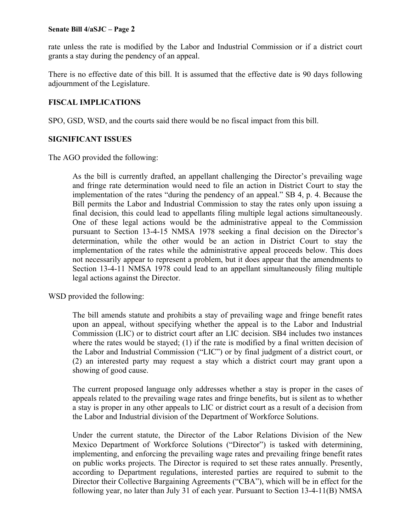#### **Senate Bill 4/aSJC – Page 2**

rate unless the rate is modified by the Labor and Industrial Commission or if a district court grants a stay during the pendency of an appeal.

There is no effective date of this bill. It is assumed that the effective date is 90 days following adjournment of the Legislature.

## **FISCAL IMPLICATIONS**

SPO, GSD, WSD, and the courts said there would be no fiscal impact from this bill.

# **SIGNIFICANT ISSUES**

The AGO provided the following:

As the bill is currently drafted, an appellant challenging the Director's prevailing wage and fringe rate determination would need to file an action in District Court to stay the implementation of the rates "during the pendency of an appeal." SB 4, p. 4. Because the Bill permits the Labor and Industrial Commission to stay the rates only upon issuing a final decision, this could lead to appellants filing multiple legal actions simultaneously. One of these legal actions would be the administrative appeal to the Commission pursuant to Section 13-4-15 NMSA 1978 seeking a final decision on the Director's determination, while the other would be an action in District Court to stay the implementation of the rates while the administrative appeal proceeds below. This does not necessarily appear to represent a problem, but it does appear that the amendments to Section 13-4-11 NMSA 1978 could lead to an appellant simultaneously filing multiple legal actions against the Director.

WSD provided the following:

The bill amends statute and prohibits a stay of prevailing wage and fringe benefit rates upon an appeal, without specifying whether the appeal is to the Labor and Industrial Commission (LIC) or to district court after an LIC decision. SB4 includes two instances where the rates would be stayed; (1) if the rate is modified by a final written decision of the Labor and Industrial Commission ("LIC") or by final judgment of a district court, or (2) an interested party may request a stay which a district court may grant upon a showing of good cause.

The current proposed language only addresses whether a stay is proper in the cases of appeals related to the prevailing wage rates and fringe benefits, but is silent as to whether a stay is proper in any other appeals to LIC or district court as a result of a decision from the Labor and Industrial division of the Department of Workforce Solutions.

Under the current statute, the Director of the Labor Relations Division of the New Mexico Department of Workforce Solutions ("Director") is tasked with determining, implementing, and enforcing the prevailing wage rates and prevailing fringe benefit rates on public works projects. The Director is required to set these rates annually. Presently, according to Department regulations, interested parties are required to submit to the Director their Collective Bargaining Agreements ("CBA"), which will be in effect for the following year, no later than July 31 of each year. Pursuant to Section 13-4-11(B) NMSA